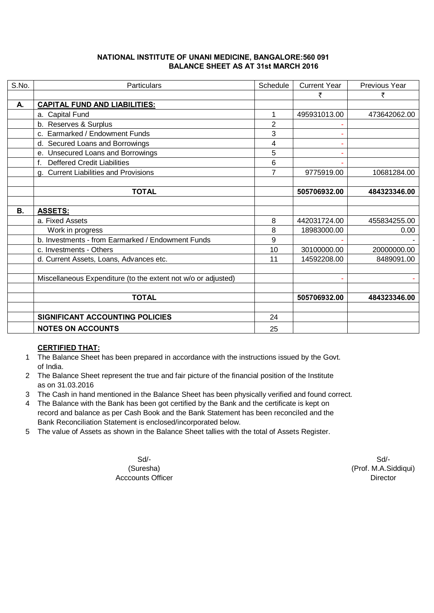## **NATIONAL INSTITUTE OF UNANI MEDICINE, BANGALORE:560 091 BALANCE SHEET AS AT 31st MARCH 2016**

| S.No. | <b>Particulars</b>                                            | Schedule       | <b>Current Year</b> | Previous Year |
|-------|---------------------------------------------------------------|----------------|---------------------|---------------|
|       |                                                               |                | ₹                   | ₹             |
| А.    | <b>CAPITAL FUND AND LIABILITIES:</b>                          |                |                     |               |
|       | a. Capital Fund                                               | 1              | 495931013.00        | 473642062.00  |
|       | b. Reserves & Surplus                                         | $\overline{2}$ |                     |               |
|       | c. Earmarked / Endowment Funds                                | 3              |                     |               |
|       | d. Secured Loans and Borrowings                               | 4              |                     |               |
|       | e. Unsecured Loans and Borrowings                             | 5              |                     |               |
|       | <b>Deffered Credit Liabilities</b><br>f                       | 6              |                     |               |
|       | g. Current Liabilities and Provisions                         | $\overline{7}$ | 9775919.00          | 10681284.00   |
|       |                                                               |                |                     |               |
|       | <b>TOTAL</b>                                                  |                | 505706932.00        | 484323346.00  |
|       |                                                               |                |                     |               |
| В.    | <b>ASSETS:</b>                                                |                |                     |               |
|       | a. Fixed Assets                                               | 8              | 442031724.00        | 455834255.00  |
|       | Work in progress                                              | 8              | 18983000.00         | 0.00          |
|       | b. Investments - from Earmarked / Endowment Funds             | 9              |                     |               |
|       | c. Investments - Others                                       | 10             | 30100000.00         | 20000000.00   |
|       | d. Current Assets, Loans, Advances etc.                       | 11             | 14592208.00         | 8489091.00    |
|       |                                                               |                |                     |               |
|       | Miscellaneous Expenditure (to the extent not w/o or adjusted) |                |                     |               |
|       |                                                               |                |                     |               |
|       | <b>TOTAL</b>                                                  |                | 505706932.00        | 484323346.00  |
|       |                                                               |                |                     |               |
|       | SIGNIFICANT ACCOUNTING POLICIES                               | 24             |                     |               |
|       | <b>NOTES ON ACCOUNTS</b>                                      | 25             |                     |               |

## **CERTIFIED THAT:**

- 1 The Balance Sheet has been prepared in accordance with the instructions issued by the Govt. of India.
- 2 The Balance Sheet represent the true and fair picture of the financial position of the Institute as on 31.03.2016
- 3 The Cash in hand mentioned in the Balance Sheet has been physically verified and found correct.
- 4 The Balance with the Bank has been got certified by the Bank and the certificate is kept on record and balance as per Cash Book and the Bank Statement has been reconciled and the Bank Reconciliation Statement is enclosed/incorporated below.
- 5 The value of Assets as shown in the Balance Sheet tallies with the total of Assets Register.

Acccounts Officer **Director** Director

Sd/- Sd/- (Suresha) (Prof. M.A.Siddiqui)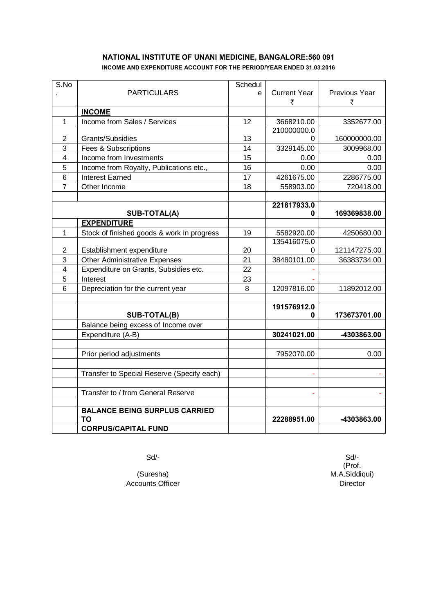## **NATIONAL INSTITUTE OF UNANI MEDICINE, BANGALORE:560 091 INCOME AND EXPENDITURE ACCOUNT FOR THE PERIOD/YEAR ENDED 31.03.2016**

| S.No                    |                                            | Schedul |                     |               |
|-------------------------|--------------------------------------------|---------|---------------------|---------------|
|                         | <b>PARTICULARS</b>                         | e       | <b>Current Year</b> | Previous Year |
|                         |                                            |         | ₹                   | ₹             |
|                         | <b>INCOME</b>                              |         |                     |               |
| 1                       | Income from Sales / Services               | 12      | 3668210.00          | 3352677.00    |
|                         |                                            |         | 210000000.0         |               |
| $\overline{2}$          | Grants/Subsidies                           | 13      | 0                   | 160000000.00  |
| 3                       | Fees & Subscriptions                       | 14      | 3329145.00          | 3009968.00    |
| $\overline{\mathbf{4}}$ | Income from Investments                    | 15      | 0.00                | 0.00          |
| 5                       | Income from Royalty, Publications etc.,    | 16      | 0.00                | 0.00          |
| 6                       | <b>Interest Earned</b>                     | 17      | 4261675.00          | 2286775.00    |
| $\overline{7}$          | Other Income                               | 18      | 558903.00           | 720418.00     |
|                         |                                            |         |                     |               |
|                         |                                            |         | 221817933.0         |               |
|                         | <b>SUB-TOTAL(A)</b>                        |         | 0                   | 169369838.00  |
|                         | <b>EXPENDITURE</b>                         |         |                     |               |
| 1                       | Stock of finished goods & work in progress | 19      | 5582920.00          | 4250680.00    |
|                         |                                            |         | 135416075.0         |               |
| $\overline{2}$          | Establishment expenditure                  | 20      | 0                   | 121147275.00  |
| 3                       | Other Administrative Expenses              | 21      | 38480101.00         | 36383734.00   |
| 4                       | Expenditure on Grants, Subsidies etc.      | 22      |                     |               |
| 5                       | Interest                                   | 23      |                     |               |
| 6                       | Depreciation for the current year          | 8       | 12097816.00         | 11892012.00   |
|                         |                                            |         |                     |               |
|                         |                                            |         | 191576912.0         |               |
|                         | SUB-TOTAL(B)                               |         | 0                   | 173673701.00  |
|                         | Balance being excess of Income over        |         |                     |               |
|                         | Expenditure (A-B)                          |         | 30241021.00         | -4303863.00   |
|                         |                                            |         |                     |               |
|                         | Prior period adjustments                   |         | 7952070.00          | 0.00          |
|                         |                                            |         |                     |               |
|                         | Transfer to Special Reserve (Specify each) |         | ä,                  |               |
|                         |                                            |         |                     |               |
|                         | Transfer to / from General Reserve         |         | ä,                  |               |
|                         |                                            |         |                     |               |
|                         | <b>BALANCE BEING SURPLUS CARRIED</b>       |         |                     |               |
|                         | TO                                         |         | 22288951.00         | -4303863.00   |
|                         | <b>CORPUS/CAPITAL FUND</b>                 |         |                     |               |

(Suresha) Accounts Officer Director

Sd/- Sd/- (Prof. M.A.Siddiqui)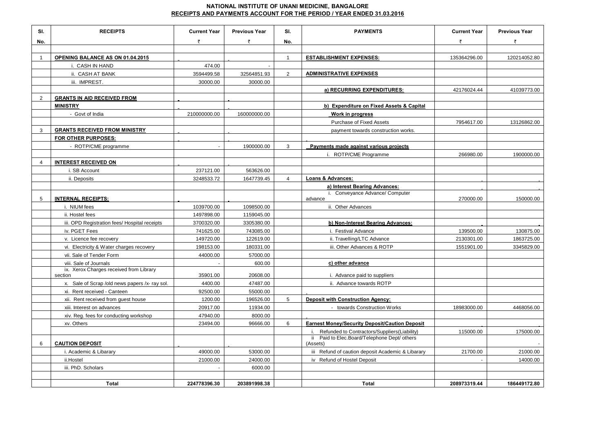## **NATIONAL INSTITUTE OF UNANI MEDICINE, BANGALORE RECEIPTS AND PAYMENTS ACCOUNT FOR THE PERIOD / YEAR ENDED 31.03.2016**

| SI.            | <b>RECEIPTS</b>                                           | <b>Current Year</b> | <b>Previous Year</b> | SI.            | <b>PAYMENTS</b>                                          | <b>Current Year</b> | <b>Previous Year</b> |
|----------------|-----------------------------------------------------------|---------------------|----------------------|----------------|----------------------------------------------------------|---------------------|----------------------|
| No.            |                                                           | ₹                   | ₹                    | No.            |                                                          | ₹                   | ₹                    |
|                |                                                           |                     |                      |                |                                                          |                     |                      |
| $\mathbf{1}$   | OPENING BALANCE AS ON 01.04.2015                          |                     |                      | $\mathbf{1}$   | <b>ESTABLISHMENT EXPENSES:</b>                           | 135364296.00        | 120214052.80         |
|                | i. CASH IN HAND                                           | 474.00              |                      |                |                                                          |                     |                      |
|                | ii. CASH AT BANK                                          | 3594499.58          | 32564851.93          | $\overline{2}$ | <b>ADMINISTRATIVE EXPENSES</b>                           |                     |                      |
|                | iii. IMPREST.                                             | 30000.00            | 30000.00             |                |                                                          |                     |                      |
|                |                                                           |                     |                      |                | a) RECURRING EXPENDITURES:                               | 42176024.44         | 41039773.00          |
| $\overline{2}$ | <b>GRANTS IN AID RECEIVED FROM</b>                        |                     |                      |                |                                                          |                     |                      |
|                | <b>MINISTRY</b>                                           |                     |                      |                | b) Expenditure on Fixed Assets & Capital                 |                     |                      |
|                | - Govt of India                                           | 210000000.00        | 160000000.00         |                | Work in progress                                         |                     |                      |
|                |                                                           |                     |                      |                | Purchase of Fixed Assets                                 | 7954617.00          | 13126862.00          |
| 3              | <b>GRANTS RECEIVED FROM MINISTRY</b>                      |                     |                      |                | payment towards construction works.                      |                     |                      |
|                | FOR OTHER PURPOSES:                                       |                     |                      |                |                                                          |                     |                      |
|                | - ROTP/CME programme                                      |                     | 1900000.00           | 3              | Payments made against various projects                   |                     |                      |
|                |                                                           |                     |                      |                | i. ROTP/CME Programme                                    | 266980.00           | 1900000.00           |
| $\overline{4}$ | <b>INTEREST RECEIVED ON</b>                               |                     |                      |                |                                                          |                     |                      |
|                | i. SB Account                                             | 237121.00           | 563626.00            |                |                                                          |                     |                      |
|                | ii. Deposits                                              | 3248533.72          | 1647739.45           | $\overline{4}$ | Loans & Advances:                                        |                     |                      |
|                |                                                           |                     |                      |                | a) Interest Bearing Advances:                            |                     |                      |
| 5              | <b>INTERNAL RECEIPTS:</b>                                 |                     |                      |                | i. Conveyance Advance/ Computer<br>advance               | 270000.00           | 150000.00            |
|                | i. NIUM fees                                              | 1039700.00          | 1098500.00           |                | ii. Other Advances                                       |                     |                      |
|                | ii. Hostel fees                                           | 1497898.00          | 1159045.00           |                |                                                          |                     |                      |
|                | iii. OPD Registration fees/ Hospital receipts             | 3700320.00          | 3305380.00           |                | b) Non-Interest Bearing Advances:                        |                     |                      |
|                | iv. PGET Fees                                             | 741625.00           | 743085.00            |                | i. Festival Advance                                      | 139500.00           | 130875.00            |
|                | v. Licence fee recovery                                   | 149720.00           | 122619.00            |                | ii. Travelling/LTC Advance                               | 2130301.00          | 1863725.00           |
|                | vi. Electricity & Water charges recovery                  | 198153.00           | 180331.00            |                | iii. Other Advances & ROTP                               | 1551901.00          | 3345829.00           |
|                | vii. Sale of Tender Form                                  | 44000.00            | 57000.00             |                |                                                          |                     |                      |
|                | viii. Sale of Journals                                    |                     | 600.00               |                | c) other advance                                         |                     |                      |
|                | ix. Xerox Charges received from Library                   |                     |                      |                |                                                          |                     |                      |
|                | section<br>x. Sale of Scrap /old news papers /x- ray sol. | 35901.00<br>4400.00 | 20608.00<br>47487.00 |                | i. Advance paid to suppliers<br>ii. Advance towards ROTP |                     |                      |
|                | xi. Rent received - Canteen                               | 92500.00            | 55000.00             |                |                                                          |                     |                      |
|                | xii. Rent received from guest house                       | 1200.00             | 196526.00            | 5              | <b>Deposit with Construction Agency:</b>                 |                     |                      |
|                | xiii. Interest on advances                                | 20917.00            | 11934.00             |                | - towards Construction Works                             | 18983000.00         | 4468056.00           |
|                | xiv. Reg. fees for conducting workshop                    | 47940.00            | 8000.00              |                |                                                          |                     |                      |
|                | xv. Others                                                | 23494.00            | 96666.00             | 6              | <b>Earnest Money/Security Deposit/Caution Deposit</b>    |                     |                      |
|                |                                                           |                     |                      |                | Refunded to Contractors/Suppliers(Liability)             | 115000.00           | 175000.00            |
| 6              | <b>CAUTION DEPOSIT</b>                                    |                     |                      |                | ii Paid to Elec.Board/Telephone Dept/ others<br>(Assets) |                     |                      |
|                | i. Academic & Libarary                                    | 49000.00            | 53000.00             |                | iii Refund of caution deposit Academic & Libarary        | 21700.00            | 21000.00             |
|                | ii.Hostel                                                 | 21000.00            | 24000.00             |                | iv Refund of Hostel Deposit                              |                     | 14000.00             |
|                | iii. PhD. Scholars                                        | $\overline{a}$      | 6000.00              |                |                                                          |                     |                      |
|                |                                                           |                     |                      |                |                                                          |                     |                      |
|                | <b>Total</b>                                              | 224778396.30        | 203891998.38         |                | <b>Total</b>                                             | 208973319.44        | 186449172.80         |